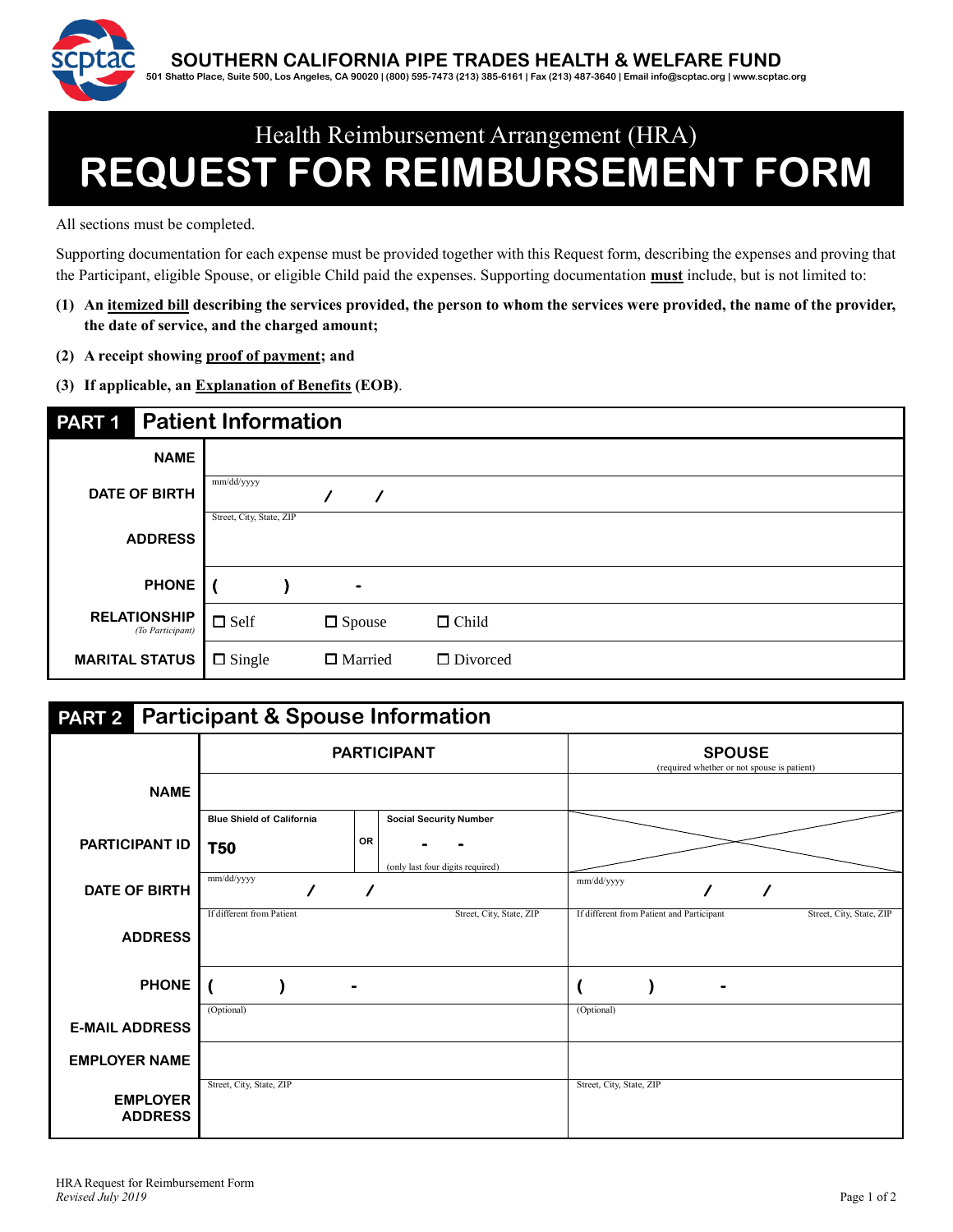

## Health Reimbursement Arrangement (HRA) **REQUEST FOR REIMBURSEMENT FORM**

All sections must be completed.

Supporting documentation for each expense must be provided together with this Request form, describing the expenses and proving that the Participant, eligible Spouse, or eligible Child paid the expenses. Supporting documentation **must** include, but is not limited to:

- **(1) An itemized bill describing the services provided, the person to whom the services were provided, the name of the provider, the date of service, and the charged amount;**
- **(2) A receipt showing proof of payment; and**
- **(3) If applicable, an Explanation of Benefits (EOB)**.

| PART <sub>1</sub>     |                                         | <b>Patient Information</b> |  |                |                 |  |  |  |
|-----------------------|-----------------------------------------|----------------------------|--|----------------|-----------------|--|--|--|
|                       | <b>NAME</b>                             |                            |  |                |                 |  |  |  |
| <b>DATE OF BIRTH</b>  |                                         | mm/dd/yyyy                 |  |                |                 |  |  |  |
|                       | <b>ADDRESS</b>                          | Street, City, State, ZIP   |  |                |                 |  |  |  |
|                       | <b>PHONE</b>                            |                            |  | $\blacksquare$ |                 |  |  |  |
|                       | <b>RELATIONSHIP</b><br>(To Participant) | $\Box$ Self                |  | $\Box$ Spouse  | $\Box$ Child    |  |  |  |
| <b>MARITAL STATUS</b> |                                         | $\Box$ Single              |  | $\Box$ Married | $\Box$ Divorced |  |  |  |

| <b>PART 2</b> Participant & Spouse Information |                                  |                                               |                                                                       |  |  |  |  |  |  |  |  |
|------------------------------------------------|----------------------------------|-----------------------------------------------|-----------------------------------------------------------------------|--|--|--|--|--|--|--|--|
|                                                |                                  | <b>PARTICIPANT</b>                            | <b>SPOUSE</b><br>(required whether or not spouse is patient)          |  |  |  |  |  |  |  |  |
| <b>NAME</b>                                    |                                  |                                               |                                                                       |  |  |  |  |  |  |  |  |
|                                                | <b>Blue Shield of California</b> | <b>Social Security Number</b>                 |                                                                       |  |  |  |  |  |  |  |  |
| <b>PARTICIPANT ID</b>                          | <b>T50</b>                       | <b>OR</b><br>(only last four digits required) |                                                                       |  |  |  |  |  |  |  |  |
| DATE OF BIRTH                                  | mm/dd/yyyy                       |                                               | mm/dd/yyyy                                                            |  |  |  |  |  |  |  |  |
| <b>ADDRESS</b>                                 | If different from Patient        | Street, City, State, ZIP                      | If different from Patient and Participant<br>Street, City, State, ZIP |  |  |  |  |  |  |  |  |
| <b>PHONE</b>                                   |                                  |                                               |                                                                       |  |  |  |  |  |  |  |  |
| <b>E-MAIL ADDRESS</b>                          | (Optional)                       |                                               | (Optional)                                                            |  |  |  |  |  |  |  |  |
| <b>EMPLOYER NAME</b>                           |                                  |                                               |                                                                       |  |  |  |  |  |  |  |  |
| <b>EMPLOYER</b><br><b>ADDRESS</b>              | Street, City, State, ZIP         |                                               | Street, City, State, ZIP                                              |  |  |  |  |  |  |  |  |